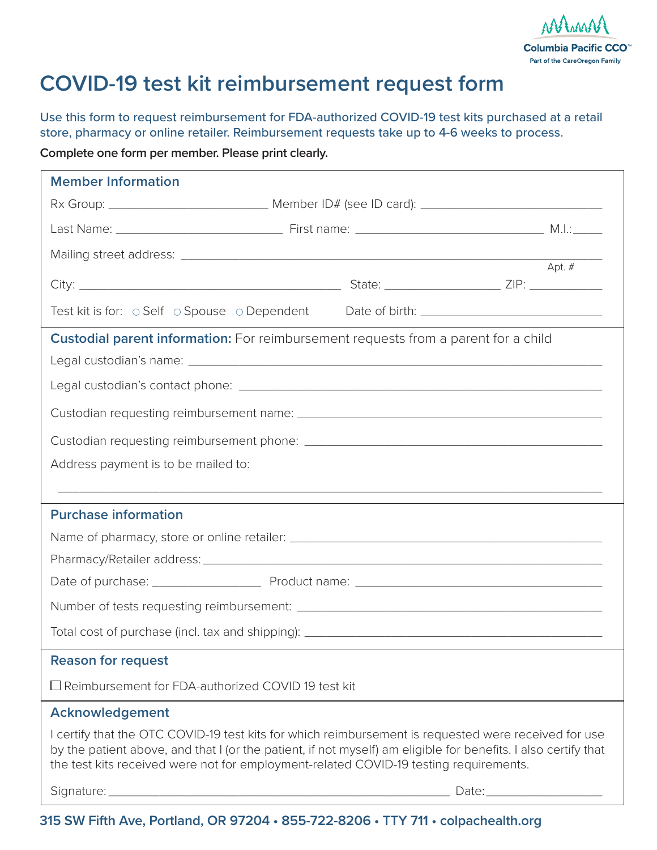

## **COVID-19 test kit reimbursement request form**

Use this form to request reimbursement for FDA-authorized COVID-19 test kits purchased at a retail store, pharmacy or online retailer. Reimbursement requests take up to 4-6 weeks to process.

**Complete one form per member. Please print clearly.**

| <b>Member Information</b>                                                                                                                                                                                                                                                                                       |  |          |
|-----------------------------------------------------------------------------------------------------------------------------------------------------------------------------------------------------------------------------------------------------------------------------------------------------------------|--|----------|
|                                                                                                                                                                                                                                                                                                                 |  |          |
|                                                                                                                                                                                                                                                                                                                 |  |          |
|                                                                                                                                                                                                                                                                                                                 |  |          |
|                                                                                                                                                                                                                                                                                                                 |  | Apt. $#$ |
| Test kit is for: o Self o Spouse o Dependent Date of birth: _____________________                                                                                                                                                                                                                               |  |          |
| <b>Custodial parent information:</b> For reimbursement requests from a parent for a child                                                                                                                                                                                                                       |  |          |
|                                                                                                                                                                                                                                                                                                                 |  |          |
|                                                                                                                                                                                                                                                                                                                 |  |          |
|                                                                                                                                                                                                                                                                                                                 |  |          |
|                                                                                                                                                                                                                                                                                                                 |  |          |
| Address payment is to be mailed to:                                                                                                                                                                                                                                                                             |  |          |
|                                                                                                                                                                                                                                                                                                                 |  |          |
| <b>Purchase information</b>                                                                                                                                                                                                                                                                                     |  |          |
|                                                                                                                                                                                                                                                                                                                 |  |          |
|                                                                                                                                                                                                                                                                                                                 |  |          |
|                                                                                                                                                                                                                                                                                                                 |  |          |
|                                                                                                                                                                                                                                                                                                                 |  |          |
|                                                                                                                                                                                                                                                                                                                 |  |          |
| <b>Reason for request</b>                                                                                                                                                                                                                                                                                       |  |          |
| □ Reimbursement for FDA-authorized COVID 19 test kit                                                                                                                                                                                                                                                            |  |          |
| Acknowledgement                                                                                                                                                                                                                                                                                                 |  |          |
| I certify that the OTC COVID-19 test kits for which reimbursement is requested were received for use<br>by the patient above, and that I (or the patient, if not myself) am eligible for benefits. I also certify that<br>the test kits received were not for employment-related COVID-19 testing requirements. |  |          |
|                                                                                                                                                                                                                                                                                                                 |  |          |

**315 SW Fifth Ave, Portland, OR 97204 • 855-722-8206 • TTY 711 • colpachealth.org**